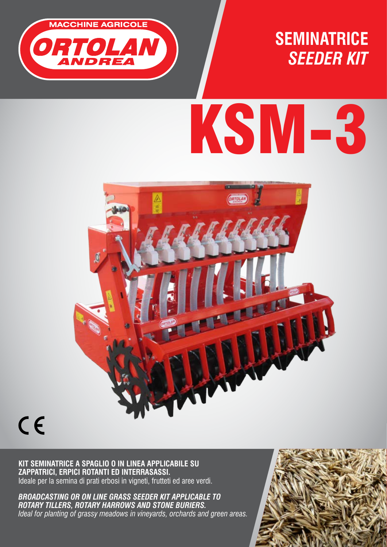

**SEMINATRICE** *SEEDER KIT*

# KSM-3



## $C \in$

**KIT SEMINATRICE A SPAGLIO O IN LINEA APPLICABILE SU ZAPPATRICI, ERPICI ROTANTI ED INTERRASASSI.**  Ideale per la semina di prati erbosi in vigneti, frutteti ed aree verdi.

*BROADCASTING OR ON LINE GRASS SEEDER KIT APPLICABLE TO ROTARY TILLERS, ROTARY HARROWS AND STONE BURIERS. Ideal for planting of grassy meadows in vineyards, orchards and green areas.*